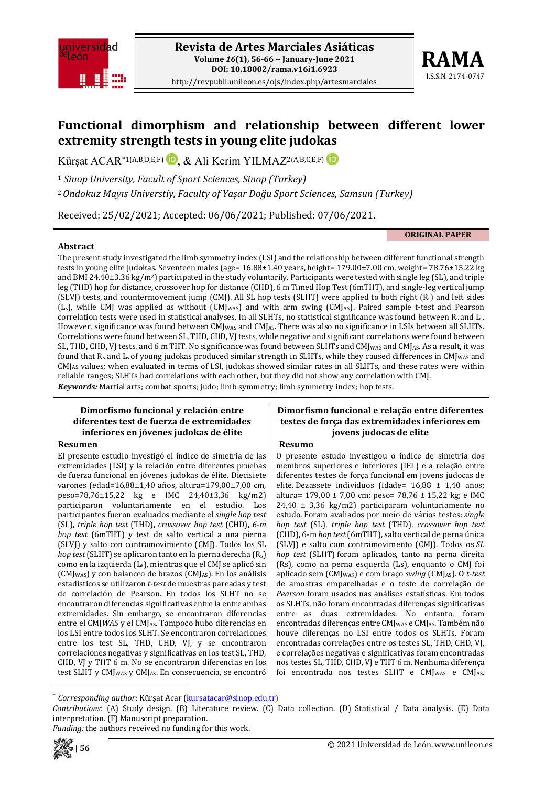

http://revpubli.unileon.es/ojs/index.php/artesmarciales



# **Functional dimorphism and relationship between different lower extremity strength tests in young elite judokas**

Kürsat ACAR<sup>[\\*](#page-0-0)1(A,B,D,E,F)</sub> **D**, & Ali Kerim YILMAZ<sup>2(A,B,C,E,F) **D**</sup></sup>

<sup>1</sup> *Sinop University, Facult of Sport Sciences, Sinop (Turkey)*

<sup>2</sup>*Ondokuz Mayıs Universtiy, Faculty of Yaşar Doğu Sport Sciences, Samsun (Turkey)*

Received: 25/02/2021; Accepted: 06/06/2021; Published: 07/06/2021.

**ORIGINAL PAPER**

#### **Abstract**

The present study investigated the limb symmetry index (LSI) and the relationship between different functional strength tests in young elite judokas. Seventeen males (age= 16.88±1.40 years, height= 179.00±7.00 cm, weight= 78.76±15.22 kg and BMI 24.40 $\pm$ 3.36 kg/m<sup>2</sup>) participated in the study voluntarily. Participants were tested with single leg (SL), and triple leg (THD) hop for distance, crossover hop for distance (CHD), 6 m Timed Hop Test(6mTHT), and single-leg vertical jump (SLVJ) tests, and countermovement jump (CMJ). All SL hop tests (SLHT) were applied to both right (Rs) and left sides (Ls), while CMJ was applied as without (CMJWAS) and with arm swing (CMJAS). Paired sample t-test and Pearson correlation tests were used in statistical analyses. In all SLHTs, no statistical significance was found between Rs and Ls. However, significance was found between  $CMJ_{\text{MAS}}$  and  $CMJ_{\text{AS}}$ . There was also no significance in LSIs between all SLHTs. Correlations were found between SL, THD, CHD, VJ tests, while negative and significant correlations were found between SL, THD, CHD, VJ tests, and 6 m THT. No significance was found between SLHTs and CMJ<sub>WAS</sub> and CMJ<sub>AS</sub>. As a result, it was found that  $R_s$  and  $L_s$  of young judokas produced similar strength in SLHTs, while they caused differences in CMJ<sub>WAS</sub> and CMJAS values; when evaluated in terms of LSI, judokas showed similar rates in all SLHTs, and these rates were within reliable ranges; SLHTs had correlations with each other, but they did not show any correlation with CMJ. *Keywords:* Martial arts; combat sports; judo; limb symmetry; limb symmetry index; hop tests.

#### **Dimorfismo funcional y relación entre diferentes test de fuerza de extremidades inferiores en jóvenes judokas de élite**

#### **Resumen**

El presente estudio investigó el índice de simetría de las extremidades (LSI) y la relación entre diferentes pruebas de fuerza funcional en jóvenes judokas de élite. Diecisiete varones (edad=16,88±1,40 años, altura=179,00±7,00 cm, peso=78,76±15,22 kg e IMC 24,40±3,36 kg/m2) participaron voluntariamente en el estudio. Los participantes fueron evaluados mediante el *single hop test* (SL), *triple hop test* (THD), *crossover hop test* (CHD), *6-m hop test* (6mTHT) y test de salto vertical a una pierna (SLVJ) y salto con contramovimiento (CMJ). Todos los SL *hop test*(SLHT) se aplicaron tanto en la pierna derecha (Rs) como en la izquierda (Ls), mientras que el CMJ se aplicó sin  $(CM_{VAS})$  y con balanceo de brazos  $(CM_{AS})$ . En los análisis estadísticos se utilizaron *t-test* de muestras pareadas y test de correlación de Pearson. En todos los SLHT no se encontraron diferencias significativas entre la entre ambas extremidades. Sin embargo, se encontraron diferencias entre el CMJ*WAS* y el CMJAS. Tampoco hubo diferencias en los LSI entre todos los SLHT. Se encontraron correlaciones entre los test SL, THD, CHD, VJ, y se encontraron correlaciones negativas y significativas en los test SL, THD, CHD, VJ y THT 6 m. No se encontraron diferencias en los test SLHT y CMJ<sub>WAS</sub> y CMJ<sub>AS</sub>. En consecuencia, se encontró

#### **Dimorfismo funcional e relação entre diferentes testes de força das extremidades inferiores em jovens judocas de elite**

#### **Resumo**

O presente estudo investigou o índice de simetria dos membros superiores e inferiores (IEL) e a relação entre diferentes testes de força funcional em jovens judocas de elite. Dezassete indivíduos (idade= 16,88 ± 1,40 anos; altura= 179,00 ± 7,00 cm; peso= 78,76 ± 15,22 kg; e IMC 24,40 ± 3,36 kg/m2) participaram voluntariamente no estudo. Foram avaliados por meio de vários testes: *single hop test* (SL), *triple hop test* (THD), *crossover hop test* (CHD), 6-m *hop test*(6mTHT), salto vertical de perna única (SLVJ) e salto com contramovimento (CMJ). Todos os *SL hop test* (SLHT) foram aplicados, tanto na perna direita (Rs), como na perna esquerda (Ls), enquanto o CMJ foi aplicado sem (CMJWAS) e com braço *swing* (CMJAS). O *t-test* de amostras emparelhadas e o teste de correlação de *Pearson* foram usados nas análises estatísticas. Em todos os SLHTs, não foram encontradas diferenças significativas entre as duas extremidades. No entanto, foram encontradas diferenças entre CMJ<sub>WAS</sub> e CMJ<sub>AS</sub>. Também não houve diferenças no LSI entre todos os SLHTs. Foram encontradas correlações entre os testes SL, THD, CHD, VJ, e correlações negativas e significativas foram encontradas nos testes SL, THD, CHD, VJ e THT 6 m. Nenhuma diferença foi encontrada nos testes SLHT e CMJ<sub>WAS</sub> e CMJ<sub>AS</sub>.

*Funding:* the authors received no funding for this work.



<span id="page-0-0"></span>*Corresponding author*: Kürşat Acar [\(kursatacar@sinop.edu.tr\)](mailto:kursatacar@sinop.edu.tr)

*Contributions*: (A) Study design. (B) Literature review. (C) Data collection. (D) Statistical / Data analysis. (E) Data interpretation. (F) Manuscript preparation.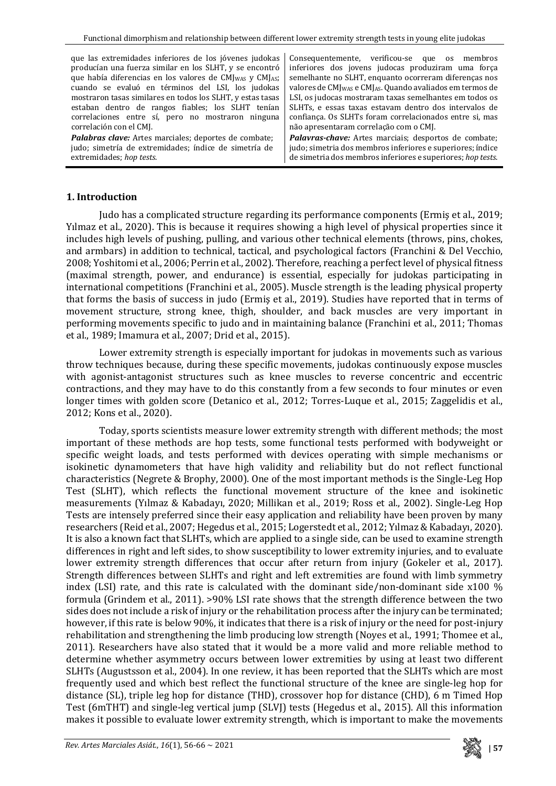| que las extremidades inferiores de los jóvenes judokas                           | Consequentemente, verificou-se que os membros                                     |  |  |  |  |  |
|----------------------------------------------------------------------------------|-----------------------------------------------------------------------------------|--|--|--|--|--|
| producían una fuerza similar en los SLHT, y se encontró                          | inferiores dos jovens judocas produziram uma força                                |  |  |  |  |  |
| que había diferencias en los valores de CMJ <sub>WAS</sub> y CMJ <sub>AS</sub> ; | semelhante no SLHT, enquanto ocorreram diferenças nos                             |  |  |  |  |  |
| cuando se evaluó en términos del LSI, los judokas                                | valores de CMJ <sub>WAS</sub> e CMJ <sub>AS</sub> . Quando avaliados em termos de |  |  |  |  |  |
| mostraron tasas similares en todos los SLHT, y estas tasas                       | LSI, os judocas mostraram taxas semelhantes em todos os                           |  |  |  |  |  |
| estaban dentro de rangos fiables; los SLHT tenían                                | SLHTs, e essas taxas estavam dentro dos intervalos de                             |  |  |  |  |  |
| correlaciones entre sí, pero no mostraron ninguna                                | confiança. Os SLHTs foram correlacionados entre si, mas                           |  |  |  |  |  |
| correlación con el CMJ.                                                          | não apresentaram correlação com o CMJ.                                            |  |  |  |  |  |
| <b>Palabras clave:</b> Artes marciales; deportes de combate;                     | Palavras-chave: Artes marciais; desportos de combate;                             |  |  |  |  |  |
| judo; simetría de extremidades; índice de simetría de                            | judo; simetria dos membros inferiores e superiores; índice                        |  |  |  |  |  |
| extremidades; hop tests.                                                         | de simetria dos membros inferiores e superiores; hop tests.                       |  |  |  |  |  |

# **1. Introduction**

Judo has a complicated structure regarding its performance components (Ermiş et al., 2019; Yılmaz et al., 2020). This is because it requires showing a high level of physical properties since it includes high levels of pushing, pulling, and various other technical elements (throws, pins, chokes, and armbars) in addition to technical, tactical, and psychological factors (Franchini & Del Vecchio, 2008; Yoshitomi et al., 2006; Perrin et al., 2002). Therefore, reaching a perfect level of physical fitness (maximal strength, power, and endurance) is essential, especially for judokas participating in international competitions (Franchini et al., 2005). Muscle strength is the leading physical property that forms the basis of success in judo (Ermiş et al., 2019). Studies have reported that in terms of movement structure, strong knee, thigh, shoulder, and back muscles are very important in performing movements specific to judo and in maintaining balance (Franchini et al., 2011; Thomas et al., 1989; Imamura et al., 2007; Drid et al., 2015).

Lower extremity strength is especially important for judokas in movements such as various throw techniques because, during these specific movements, judokas continuously expose muscles with agonist-antagonist structures such as knee muscles to reverse concentric and eccentric contractions, and they may have to do this constantly from a few seconds to four minutes or even longer times with golden score (Detanico et al., 2012; Torres-Luque et al., 2015; Zaggelidis et al., 2012; Kons et al., 2020).

Today, sports scientists measure lower extremity strength with different methods; the most important of these methods are hop tests, some functional tests performed with bodyweight or specific weight loads, and tests performed with devices operating with simple mechanisms or isokinetic dynamometers that have high validity and reliability but do not reflect functional characteristics (Negrete & Brophy, 2000). One of the most important methods is the Single-Leg Hop Test (SLHT), which reflects the functional movement structure of the knee and isokinetic measurements (Yılmaz & Kabadayı, 2020; Millikan et al., 2019; Ross et al., 2002). Single-Leg Hop Tests are intensely preferred since their easy application and reliability have been proven by many researchers (Reid et al., 2007; Hegedus et al., 2015; Logerstedt et al., 2012; Yılmaz & Kabadayı, 2020). It is also a known fact that SLHTs, which are applied to a single side, can be used to examine strength differences in right and left sides, to show susceptibility to lower extremity injuries, and to evaluate lower extremity strength differences that occur after return from injury (Gokeler et al., 2017). Strength differences between SLHTs and right and left extremities are found with limb symmetry index (LSI) rate, and this rate is calculated with the dominant side/non-dominant side x100 % formula (Grindem et al., 2011). >90% LSI rate shows that the strength difference between the two sides does not include a risk of injury or the rehabilitation process after the injury can be terminated; however, if this rate is below 90%, it indicates that there is a risk of injury or the need for post-injury rehabilitation and strengthening the limb producing low strength (Noyes et al., 1991; Thomee et al., 2011). Researchers have also stated that it would be a more valid and more reliable method to determine whether asymmetry occurs between lower extremities by using at least two different SLHTs (Augustsson et al., 2004). In one review, it has been reported that the SLHTs which are most frequently used and which best reflect the functional structure of the knee are single-leg hop for distance (SL), triple leg hop for distance (THD), crossover hop for distance (CHD), 6 m Timed Hop Test (6mTHT) and single-leg vertical jump (SLVJ) tests (Hegedus et al., 2015). All this information makes it possible to evaluate lower extremity strength, which is important to make the movements

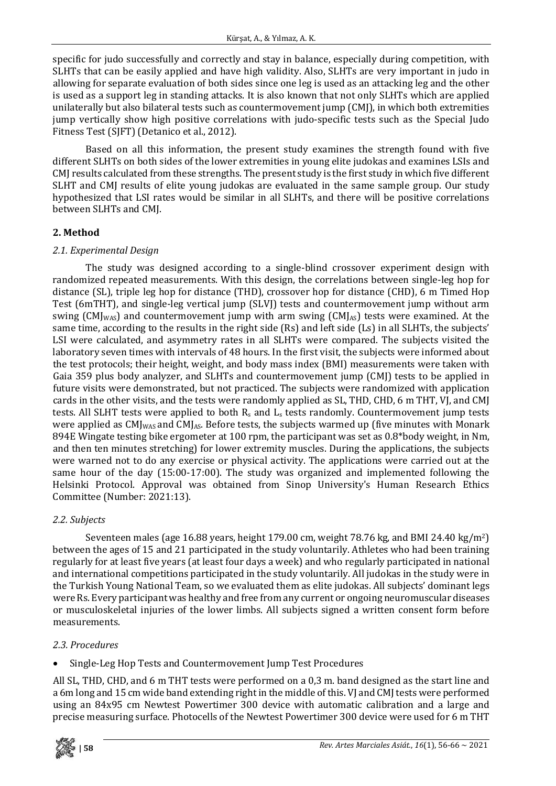specific for judo successfully and correctly and stay in balance, especially during competition, with SLHTs that can be easily applied and have high validity. Also, SLHTs are very important in judo in allowing for separate evaluation of both sides since one leg is used as an attacking leg and the other is used as a support leg in standing attacks. It is also known that not only SLHTs which are applied unilaterally but also bilateral tests such as countermovement jump (CMJ), in which both extremities jump vertically show high positive correlations with judo-specific tests such as the Special Judo Fitness Test (SJFT) (Detanico et al., 2012).

Based on all this information, the present study examines the strength found with five different SLHTs on both sides of the lower extremities in young elite judokas and examines LSIs and CMJ results calculated from these strengths. The present study is the first study in which five different SLHT and CMJ results of elite young judokas are evaluated in the same sample group. Our study hypothesized that LSI rates would be similar in all SLHTs, and there will be positive correlations between SLHTs and CMJ.

# **2. Method**

### *2.1. Experimental Design*

The study was designed according to a single-blind crossover experiment design with randomized repeated measurements. With this design, the correlations between single-leg hop for distance (SL), triple leg hop for distance (THD), crossover hop for distance (CHD), 6 m Timed Hop Test (6mTHT), and single-leg vertical jump (SLVJ) tests and countermovement jump without arm swing (CMJ<sub>WAS</sub>) and countermovement jump with arm swing (CMJ<sub>AS</sub>) tests were examined. At the same time, according to the results in the right side (Rs) and left side (Ls) in all SLHTs, the subjects' LSI were calculated, and asymmetry rates in all SLHTs were compared. The subjects visited the laboratory seven times with intervals of 48 hours. In the first visit, the subjects were informed about the test protocols; their height, weight, and body mass index (BMI) measurements were taken with Gaia 359 plus body analyzer, and SLHTs and countermovement jump (CMJ) tests to be applied in future visits were demonstrated, but not practiced. The subjects were randomized with application cards in the other visits, and the tests were randomly applied as SL, THD, CHD, 6 m THT, VJ, and CMJ tests. All SLHT tests were applied to both  $R_s$  and  $L_s$  tests randomly. Countermovement jump tests were applied as  $CMI_{\text{WAS}}$  and  $CMI_{\text{AS}}$ . Before tests, the subjects warmed up (five minutes with Monark 894E Wingate testing bike ergometer at 100 rpm, the participant was set as 0.8\*body weight, in Nm, and then ten minutes stretching) for lower extremity muscles. During the applications, the subjects were warned not to do any exercise or physical activity. The applications were carried out at the same hour of the day (15:00-17:00). The study was organized and implemented following the Helsinki Protocol. Approval was obtained from Sinop University's Human Research Ethics Committee (Number: 2021:13).

### *2.2. Subjects*

Seventeen males (age 16.88 years, height 179.00 cm, weight 78.76 kg, and BMI 24.40 kg/m2) between the ages of 15 and 21 participated in the study voluntarily. Athletes who had been training regularly for at least five years (at least four days a week) and who regularly participated in national and international competitions participated in the study voluntarily. All judokas in the study were in the Turkish Young National Team, so we evaluated them as elite judokas. All subjects' dominant legs were Rs. Every participantwas healthy and free from any current or ongoing neuromuscular diseases or musculoskeletal injuries of the lower limbs. All subjects signed a written consent form before measurements.

### *2.3. Procedures*

• Single-Leg Hop Tests and Countermovement Jump Test Procedures

All SL, THD, CHD, and 6 m THT tests were performed on a 0,3 m. band designed as the start line and a 6m long and 15 cm wide band extending right in the middle of this. VJ and CMJ tests were performed using an 84x95 cm Newtest Powertimer 300 device with automatic calibration and a large and precise measuring surface. Photocells of the Newtest Powertimer 300 device were used for 6 m THT

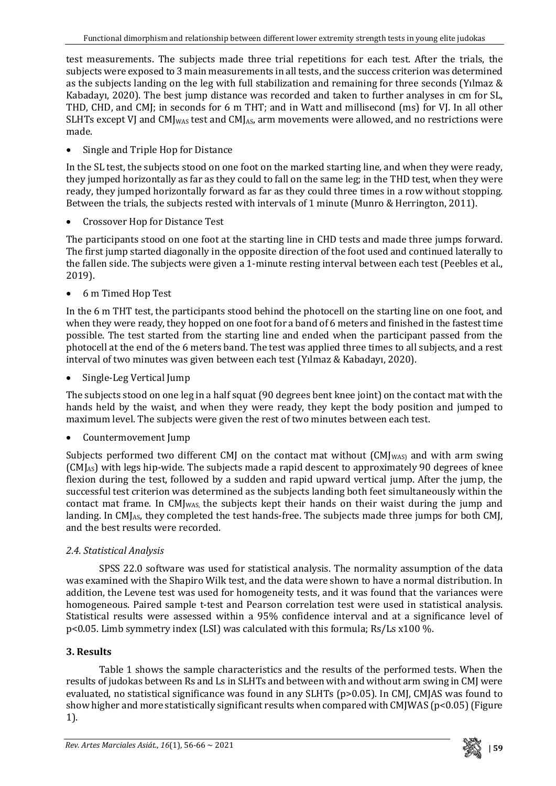test measurements. The subjects made three trial repetitions for each test. After the trials, the subjects were exposed to 3 main measurements in all tests, and the success criterion was determined as the subjects landing on the leg with full stabilization and remaining for three seconds (Yılmaz & Kabadayı, 2020). The best jump distance was recorded and taken to further analyses in cm for SL, THD, CHD, and CMJ; in seconds for 6 m THT; and in Watt and millisecond (ms) for VJ. In all other SLHTs except VJ and  $CM_{JMS}$  test and  $CM_{As}$  arm movements were allowed, and no restrictions were made.

• Single and Triple Hop for Distance

In the SL test, the subjects stood on one foot on the marked starting line, and when they were ready, they jumped horizontally as far as they could to fall on the same leg; in the THD test, when they were ready, they jumped horizontally forward as far as they could three times in a row without stopping. Between the trials, the subjects rested with intervals of 1 minute (Munro & Herrington, 2011).

• Crossover Hop for Distance Test

The participants stood on one foot at the starting line in CHD tests and made three jumps forward. The first jump started diagonally in the opposite direction of the foot used and continued laterally to the fallen side. The subjects were given a 1-minute resting interval between each test (Peebles et al., 2019).

• 6 m Timed Hop Test

In the 6 m THT test, the participants stood behind the photocell on the starting line on one foot, and when they were ready, they hopped on one foot for a band of 6 meters and finished in the fastest time possible. The test started from the starting line and ended when the participant passed from the photocell at the end of the 6 meters band. The test was applied three times to all subjects, and a rest interval of two minutes was given between each test (Yılmaz & Kabadayı, 2020).

• Single-Leg Vertical Jump

The subjects stood on one leg in a half squat (90 degrees bent knee joint) on the contact mat with the hands held by the waist, and when they were ready, they kept the body position and jumped to maximum level. The subjects were given the rest of two minutes between each test.

• Countermovement Jump

Subiects performed two different CMJ on the contact mat without  $(CM_{WAS})$  and with arm swing (CMJAS) with legs hip-wide. The subjects made a rapid descent to approximately 90 degrees of knee flexion during the test, followed by a sudden and rapid upward vertical jump. After the jump, the successful test criterion was determined as the subjects landing both feet simultaneously within the contact mat frame. In CMJ<sub>WAS</sub>, the subjects kept their hands on their waist during the jump and landing. In CMJ<sub>AS</sub>, they completed the test hands-free. The subjects made three jumps for both CMJ, and the best results were recorded.

# *2.4. Statistical Analysis*

SPSS 22.0 software was used for statistical analysis. The normality assumption of the data was examined with the Shapiro Wilk test, and the data were shown to have a normal distribution. In addition, the Levene test was used for homogeneity tests, and it was found that the variances were homogeneous. Paired sample t-test and Pearson correlation test were used in statistical analysis. Statistical results were assessed within a 95% confidence interval and at a significance level of p<0.05. Limb symmetry index (LSI) was calculated with this formula; Rs/Ls x100 %.

# **3. Results**

Table 1 shows the sample characteristics and the results of the performed tests. When the results of judokas between Rs and Ls in SLHTs and between with and without arm swing in CMJ were evaluated, no statistical significance was found in any SLHTs (p>0.05). In CMJ, CMJAS was found to show higher and more statistically significant results when compared with CMJWAS (p<0.05) (Figure 1).

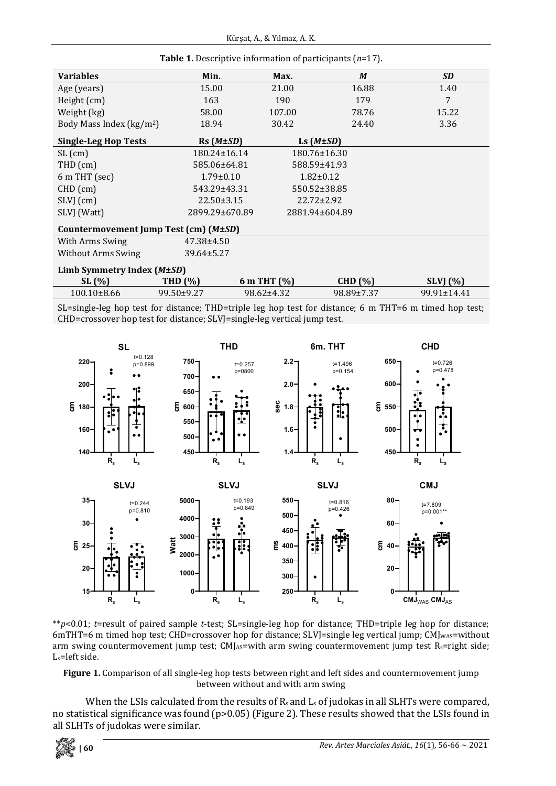| <b>Variables</b>                      | Min.               | Max.           | M                  | <b>SD</b>         |  |  |  |  |
|---------------------------------------|--------------------|----------------|--------------------|-------------------|--|--|--|--|
|                                       |                    |                |                    |                   |  |  |  |  |
| Age (years)                           | 15.00              | 21.00          | 16.88              | 1.40              |  |  |  |  |
| Height (cm)                           | 163                | 190            | 179                | 7                 |  |  |  |  |
| Weight (kg)                           | 58.00              | 107.00         | 78.76              | 15.22             |  |  |  |  |
| Body Mass Index ( $\text{kg/m}^2$ )   | 18.94              | 30.42          | 24.40              | 3.36              |  |  |  |  |
| <b>Single-Leg Hop Tests</b>           | Rs(M±SD)           |                | Ls $(M \pm SD)$    |                   |  |  |  |  |
| $SL$ (cm)                             | $180.24 \pm 16.14$ |                | $180.76 \pm 16.30$ |                   |  |  |  |  |
| THD (cm)                              | 585.06±64.81       |                | 588.59±41.93       |                   |  |  |  |  |
| 6 m THT (sec)                         | $1.79 \pm 0.10$    |                | $1.82 \pm 0.12$    |                   |  |  |  |  |
| $CHD$ (cm)                            | 543.29±43.31       |                | 550.52±38.85       |                   |  |  |  |  |
| SLVJ (cm)                             | $22.50 \pm 3.15$   |                | $22.72 \pm 2.92$   |                   |  |  |  |  |
| SLVJ (Watt)                           | 2899.29±670.89     | 2881.94±604.89 |                    |                   |  |  |  |  |
| Countermovement Jump Test (cm) (M±SD) |                    |                |                    |                   |  |  |  |  |
| With Arms Swing                       | $47.38 \pm 4.50$   |                |                    |                   |  |  |  |  |
| <b>Without Arms Swing</b>             | 39.64±5.27         |                |                    |                   |  |  |  |  |
| Limb Symmetry Index (M±SD)            |                    |                |                    |                   |  |  |  |  |
| SL(%)                                 | <b>THD (%)</b>     | 6 m THT (%)    | <b>CHD</b> (%)     | SLVI(%)           |  |  |  |  |
| $100.10\pm8.66$                       | 99.50±9.27         | 98.62±4.32     | 98.89±7.37         | $99.91 \pm 14.41$ |  |  |  |  |

**Table 1.** Descriptive information of participants (*n*=17).

SL=single-leg hop test for distance; THD=triple leg hop test for distance; 6 m THT=6 m timed hop test; CHD=crossover hop test for distance; SLVJ=single-leg vertical jump test.



\*\**p*<0.01; *t*=result of paired sample *t*-test; SL=single-leg hop for distance; THD=triple leg hop for distance; 6mTHT=6 m timed hop test; CHD=crossover hop for distance; SLVJ=single leg vertical jump; CMJ<sub>WAS</sub>=without arm swing countermovement jump test; CMJAS=with arm swing countermovement jump test R<sub>s</sub>=right side; Ls=left side.

**Figure 1.** Comparison of all single-leg hop tests between right and left sides and countermovement jump between without and with arm swing

When the LSIs calculated from the results of  $R_s$  and  $L_s$  of judokas in all SLHTs were compared, no statistical significance was found (p>0.05) (Figure 2). These results showed that the LSIs found in all SLHTs of judokas were similar.

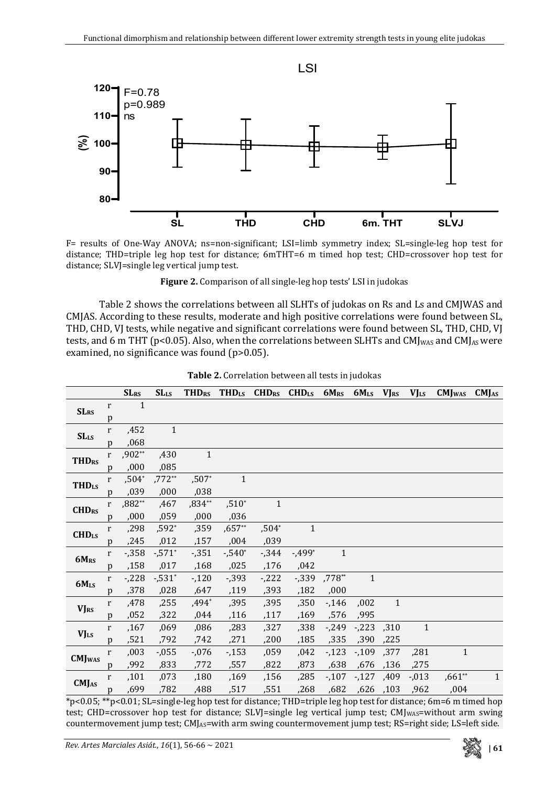

F= results of One-Way ANOVA; ns=non-significant; LSI=limb symmetry index; SL=single-leg hop test for distance; THD=triple leg hop test for distance; 6mTHT=6 m timed hop test; CHD=crossover hop test for distance; SLVJ=single leg vertical jump test.

**Figure 2.** Comparison of all single-leg hop tests' LSI in judokas

Table 2 shows the correlations between all SLHTs of judokas on Rs and Ls and CMJWAS and CMJAS. According to these results, moderate and high positive correlations were found between SL, THD, CHD, VJ tests, while negative and significant correlations were found between SL, THD, CHD, VJ tests, and 6 m THT (p<0.05). Also, when the correlations between SLHTs and CMJ<sub>MAS</sub> and CMJ<sub>AS</sub> were examined, no significance was found (p>0.05).

|                           |              | <b>SLRS</b> | <b>SLLS</b>           | <b>THDRS</b> | <b>THDLS</b> | $CHDRS$ $CHDLS$ |              | $6M_{RS}$    | 6MLs VJRS    |              | $VJ_{LS}$    | <b>CMJ</b> <sub>WAS</sub> | CMJ <sub>AS</sub> |
|---------------------------|--------------|-------------|-----------------------|--------------|--------------|-----------------|--------------|--------------|--------------|--------------|--------------|---------------------------|-------------------|
| <b>SLRS</b>               | r            | 1           |                       |              |              |                 |              |              |              |              |              |                           |                   |
|                           | p            |             |                       |              |              |                 |              |              |              |              |              |                           |                   |
| <b>SLLs</b>               | r            | ,452        | $\mathbf{1}$          |              |              |                 |              |              |              |              |              |                           |                   |
|                           | p            | ,068        |                       |              |              |                 |              |              |              |              |              |                           |                   |
| <b>THDRS</b>              | r            | $,902**$    | ,430                  | $\mathbf{1}$ |              |                 |              |              |              |              |              |                           |                   |
|                           | p            | ,000        | ,085                  |              |              |                 |              |              |              |              |              |                           |                   |
| <b>THDLS</b>              | r            | $,504*$     | $,772**$              | $,507*$      | $\mathbf{1}$ |                 |              |              |              |              |              |                           |                   |
|                           | p            | ,039        | ,000                  | ,038         |              |                 |              |              |              |              |              |                           |                   |
| <b>CHDRS</b>              | r            | $,882**$    | ,467                  | $,834**$     | $,510*$      | $\mathbf{1}$    |              |              |              |              |              |                           |                   |
|                           | p            | ,000        | ,059                  | ,000         | ,036         |                 |              |              |              |              |              |                           |                   |
| CHD <sub>LS</sub>         | r            | ,298        | $,592*$               | ,359         | $,657**$     | $,504*$         | $\mathbf{1}$ |              |              |              |              |                           |                   |
|                           | p            | ,245        | ,012                  | ,157         | ,004         | ,039            |              |              |              |              |              |                           |                   |
| 6MRS                      | r            | $-0.358$    | $-0.571$ <sup>*</sup> | $-0.351$     | $-540^*$     | $-344$          | $-499*$      | $\mathbf{1}$ |              |              |              |                           |                   |
|                           | p            | ,158        | ,017                  | ,168         | ,025         | ,176            | ,042         |              |              |              |              |                           |                   |
| $6M_{LS}$                 | r            | $-228$      | $-531*$               | $-120$       | $-0.393$     | $-222$          | $-0.339$     | ,778**       | $\mathbf{1}$ |              |              |                           |                   |
|                           | p            | ,378        | ,028                  | ,647         | ,119         | ,393            | ,182         | ,000         |              |              |              |                           |                   |
| <b>VJRS</b>               | r            | ,478        | ,255                  | ,494*        | ,395         | ,395            | ,350         | $-146$       | ,002         | $\mathbf{1}$ |              |                           |                   |
|                           | p            | ,052        | ,322                  | ,044         | ,116         | ,117            | ,169         | ,576         | ,995         |              |              |                           |                   |
| <b>VJLS</b>               | r            | ,167        | ,069                  | ,086         | ,283         | ,327            | ,338         | -,249        | $-223$       | .310         | $\mathbf{1}$ |                           |                   |
|                           | p            | ,521        | ,792                  | ,742         | ,271         | ,200            | ,185         | ,335         | ,390         | ,225         |              |                           |                   |
| <b>CMJ</b> <sub>WAS</sub> | $\mathbf{r}$ | ,003        | $-0.055$              | $-0.076$     | $-153$       | ,059            | .042         | $-123$       | $-109$       | ,377         | ,281         | $\mathbf{1}$              |                   |
|                           | p            | ,992        | ,833                  | ,772         | ,557         | ,822            | ,873         | ,638         |              | ,676, 736    | ,275         |                           |                   |
| CMJ <sub>AS</sub>         | r            | ,101        | ,073                  | ,180         | ,169         | ,156            | ,285         | $-107$       | $-127$       | .409         | $-0.013$     | $,661**$                  | $\mathbf{1}$      |
|                           | p            | ,699        | ,782                  | ,488         | ,517         | ,551            | ,268         | ,682         |              | ,626, ,103   | ,962         | ,004                      |                   |

**Table 2.** Correlation between all tests in judokas

\*p<0.05; \*\*p<0.01; SL=single-leg hop test for distance; THD=triple leg hop test for distance; 6m=6 m timed hop test: CHD=crossover hop test for distance: SLVI=single leg vertical jump test: CMJwAs=without arm swing countermovement jump test; CMJAS=with arm swing countermovement jump test; RS=right side; LS=left side.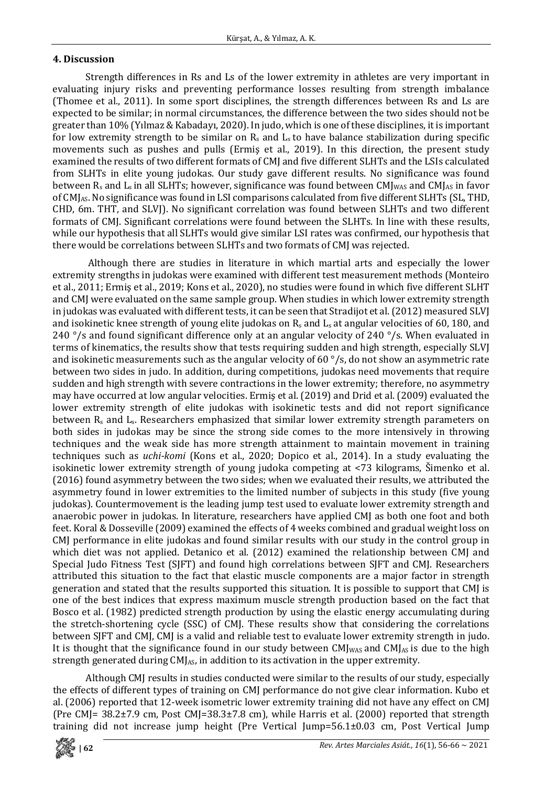### **4. Discussion**

Strength differences in Rs and Ls of the lower extremity in athletes are very important in evaluating injury risks and preventing performance losses resulting from strength imbalance (Thomee et al., 2011). In some sport disciplines, the strength differences between Rs and Ls are expected to be similar; in normal circumstances, the difference between the two sides should not be greater than 10% (Yılmaz &Kabadayı, 2020). In judo, which is one of these disciplines, it is important for low extremity strength to be similar on  $R_s$  and  $L_s$  to have balance stabilization during specific movements such as pushes and pulls (Ermiş et al., 2019). In this direction, the present study examined the results of two different formats of CMJ and five different SLHTs and the LSIs calculated from SLHTs in elite young judokas. Our study gave different results. No significance was found between  $R_s$  and  $L_s$  in all SLHTs; however, significance was found between CM $I_{WAS}$  and CM $I_{AS}$  in favor of CMJAS. No significance was found in LSI comparisons calculated from five different SLHTs (SL, THD, CHD, 6m. THT, and SLVJ). No significant correlation was found between SLHTs and two different formats of CMJ. Significant correlations were found between the SLHTs. In line with these results, while our hypothesis that all SLHTs would give similar LSI rates was confirmed, our hypothesis that there would be correlations between SLHTs and two formats of CMJ was rejected.

Although there are studies in literature in which martial arts and especially the lower extremity strengths in judokas were examined with different test measurement methods (Monteiro et al., 2011; Ermiş et al., 2019; Kons et al., 2020), no studies were found in which five different SLHT and CMJ were evaluated on the same sample group. When studies in which lower extremity strength in judokas was evaluated with different tests, it can be seen that Stradijot et al.(2012) measured SLVJ and isokinetic knee strength of young elite judokas on R<sub>s</sub> and L<sub>s</sub> at angular velocities of 60, 180, and 240  $\degree$ /s and found significant difference only at an angular velocity of 240  $\degree$ /s. When evaluated in terms of kinematics, the results show that tests requiring sudden and high strength, especially SLVJ and isokinetic measurements such as the angular velocity of 60 °/s, do not show an asymmetric rate between two sides in judo. In addition, during competitions, judokas need movements that require sudden and high strength with severe contractions in the lower extremity; therefore, no asymmetry may have occurred at low angular velocities. Ermiş et al. (2019) and Drid et al. (2009) evaluated the lower extremity strength of elite judokas with isokinetic tests and did not report significance between R<sub>s</sub> and L<sub>s</sub>. Researchers emphasized that similar lower extremity strength parameters on both sides in judokas may be since the strong side comes to the more intensively in throwing techniques and the weak side has more strength attainment to maintain movement in training techniques such as *uchi-komi* (Kons et al., 2020; Dopico et al., 2014). In a study evaluating the isokinetic lower extremity strength of young judoka competing at <73 kilograms, Šimenko et al. (2016) found asymmetry between the two sides; when we evaluated their results, we attributed the asymmetry found in lower extremities to the limited number of subjects in this study (five young judokas). Countermovement is the leading jump test used to evaluate lower extremity strength and anaerobic power in judokas. In literature, researchers have applied CMJ as both one foot and both feet. Koral & Dosseville (2009) examined the effects of 4 weeks combined and gradual weight loss on CMJ performance in elite judokas and found similar results with our study in the control group in which diet was not applied. Detanico et al. (2012) examined the relationship between CMJ and Special Judo Fitness Test (SJFT) and found high correlations between SJFT and CMJ. Researchers attributed this situation to the fact that elastic muscle components are a major factor in strength generation and stated that the results supported this situation. It is possible to support that CMJ is one of the best indices that express maximum muscle strength production based on the fact that Bosco et al. (1982) predicted strength production by using the elastic energy accumulating during the stretch-shortening cycle (SSC) of CMJ. These results show that considering the correlations between SJFT and CMJ, CMJ is a valid and reliable test to evaluate lower extremity strength in judo. It is thought that the significance found in our study between  $CMJ_{WS}$  and  $CMJ_{AS}$  is due to the high strength generated during  $CM<sub>As</sub>$ , in addition to its activation in the upper extremity.

Although CMJ results in studies conducted were similar to the results of our study, especially the effects of different types of training on CMJ performance do not give clear information. Kubo et al. (2006) reported that 12-week isometric lower extremity training did not have any effect on CMJ (Pre CMJ= 38.2±7.9 cm, Post CMJ=38.3±7.8 cm), while Harris et al. (2000) reported that strength training did not increase jump height (Pre Vertical Jump=56.1±0.03 cm, Post Vertical Jump

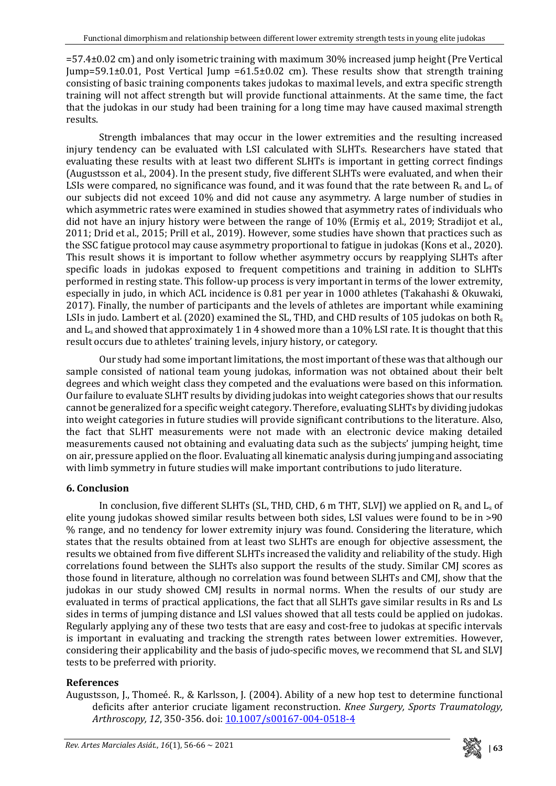=57.4±0.02 cm) and only isometric training with maximum 30% increased jump height (Pre Vertical Jump=59.1±0.01, Post Vertical Jump =61.5±0.02 cm). These results show that strength training consisting of basic training components takes judokas to maximal levels, and extra specific strength training will not affect strength but will provide functional attainments. At the same time, the fact that the judokas in our study had been training for a long time may have caused maximal strength results.

Strength imbalances that may occur in the lower extremities and the resulting increased injury tendency can be evaluated with LSI calculated with SLHTs. Researchers have stated that evaluating these results with at least two different SLHTs is important in getting correct findings (Augustsson et al., 2004). In the present study, five different SLHTs were evaluated, and when their LSIs were compared, no significance was found, and it was found that the rate between  $R_s$  and  $L_s$  of our subjects did not exceed 10% and did not cause any asymmetry. A large number of studies in which asymmetric rates were examined in studies showed that asymmetry rates of individuals who did not have an injury history were between the range of 10% (Ermiş et al., 2019; Stradijot et al., 2011; Drid et al., 2015; Prill et al., 2019). However, some studies have shown that practices such as the SSC fatigue protocol may cause asymmetry proportional to fatigue in judokas (Kons et al., 2020). This result shows it is important to follow whether asymmetry occurs by reapplying SLHTs after specific loads in judokas exposed to frequent competitions and training in addition to SLHTs performed in resting state. This follow-up process is very important in terms of the lower extremity, especially in judo, in which ACL incidence is 0.81 per year in 1000 athletes (Takahashi & Okuwaki, 2017). Finally, the number of participants and the levels of athletes are important while examining LSIs in judo. Lambert et al. (2020) examined the SL, THD, and CHD results of 105 judokas on both R<sub>s</sub> and  $L_s$  and showed that approximately 1 in 4 showed more than a 10% LSI rate. It is thought that this result occurs due to athletes' training levels, injury history, or category.

Our study had some important limitations, the most important of these was that although our sample consisted of national team young judokas, information was not obtained about their belt degrees and which weight class they competed and the evaluations were based on this information. Our failure to evaluate SLHT results by dividing judokas into weight categories shows that our results cannot be generalized for a specific weight category. Therefore, evaluating SLHTs by dividing judokas into weight categories in future studies will provide significant contributions to the literature. Also, the fact that SLHT measurements were not made with an electronic device making detailed measurements caused not obtaining and evaluating data such as the subjects' jumping height, time on air, pressure applied on the floor. Evaluating all kinematic analysis during jumping and associating with limb symmetry in future studies will make important contributions to judo literature.

# **6. Conclusion**

In conclusion, five different SLHTs (SL, THD, CHD, 6 m THT, SLVI) we applied on  $R_s$  and  $L_s$  of elite young judokas showed similar results between both sides, LSI values were found to be in >90 % range, and no tendency for lower extremity injury was found. Considering the literature, which states that the results obtained from at least two SLHTs are enough for objective assessment, the results we obtained from five different SLHTs increased the validity and reliability of the study. High correlations found between the SLHTs also support the results of the study. Similar CMJ scores as those found in literature, although no correlation was found between SLHTs and CMJ, show that the judokas in our study showed CMJ results in normal norms. When the results of our study are evaluated in terms of practical applications, the fact that all SLHTs gave similar results in Rs and Ls sides in terms of jumping distance and LSI values showed that all tests could be applied on judokas. Regularly applying any of these two tests that are easy and cost-free to judokas at specific intervals is important in evaluating and tracking the strength rates between lower extremities. However, considering their applicability and the basis of judo-specific moves, we recommend that SL and SLVJ tests to be preferred with priority.

# **References**

Augustsson, J., Thomeé. R., & Karlsson, J. (2004). Ability of a new hop test to determine functional deficits after anterior cruciate ligament reconstruction. *Knee Surgery, Sports Traumatology, Arthroscopy, 12*, 350-356. doi: [10.1007/s00167-004-0518-4](https://doi.org/10.1007/s00167-004-0518-4)

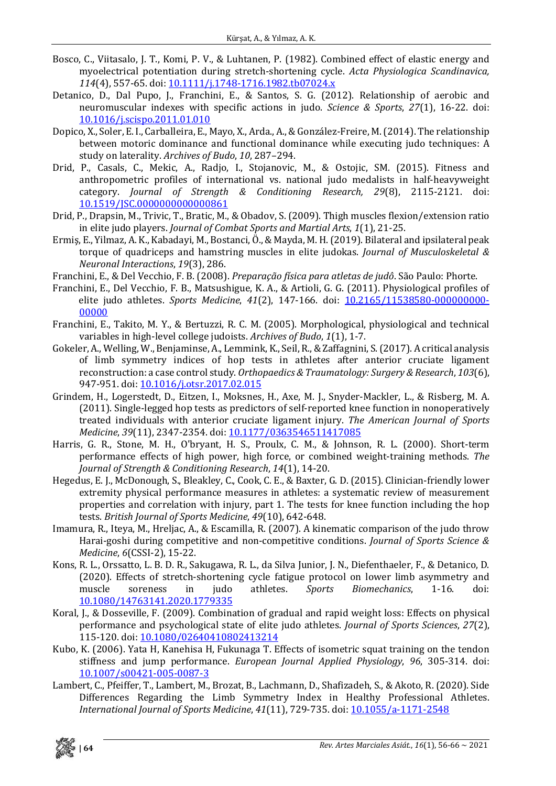- Bosco, C., Viitasalo, J. T., Komi, P. V., & Luhtanen, P. (1982). Combined effect of elastic energy and myoelectrical potentiation during stretch-shortening cycle. *Acta Physiologica Scandinavica, 114*(4), 557-65. doi: [10.1111/j.1748-1716.1982.tb07024.x](https://doi.org/10.1111/j.1748-1716.1982.tb07024.x)
- Detanico, D., Dal Pupo, J., Franchini, E., & Santos, S. G. (2012). Relationship of aerobic and neuromuscular indexes with specific actions in judo. *Science & Sports*, *27*(1), 16-22. doi: [10.1016/j.scispo.2011.01.010](https://doi.org/10.1016/j.scispo.2011.01.010)
- Dopico, X., Soler, E. I., Carballeira, E., Mayo, X., Arda., A., & González-Freire, M. (2014). The relationship between motoric dominance and functional dominance while executing judo techniques: A study on laterality. *Archives of Budo*, *10*, 287–294.
- Drid, P., Casals, C., Mekic, A., Radjo, I., Stojanovic, M., & Ostojic, SM. (2015). Fitness and anthropometric profiles of international vs. national judo medalists in half-heavyweight category. *Journal of Strength & Conditioning Research, 29*(8), 2115-2121. doi: [10.1519/JSC.0000000000000861](https://doi.org/10.1519/JSC.0000000000000861)
- Drid, P., Drapsin, M., Trivic, T., Bratic, M., & Obadov, S. (2009). Thigh muscles flexion/extension ratio in elite judo players. *Journal of Combat Sports and Martial Arts*, *1*(1), 21-25.
- Ermiş, E., Yilmaz, A. K., Kabadayi, M., Bostanci, Ö., & Mayda, M. H.(2019). Bilateral and ipsilateral peak torque of quadriceps and hamstring muscles in elite judokas. *Journal of Musculoskeletal & Neuronal Interactions*, *19*(3), 286.
- Franchini, E., & Del Vecchio, F. B. (2008). *Preparação física para atletas de judô*. São Paulo: Phorte.
- Franchini, E., Del Vecchio, F. B., Matsushigue, K. A., & Artioli, G. G. (2011). Physiological profiles of elite judo athletes. *Sports Medicine*, *41*(2), 147-166. doi: [10.2165/11538580-000000000-](https://doi.org/10.2165/11538580-000000000-00000) [00000](https://doi.org/10.2165/11538580-000000000-00000)
- Franchini, E., Takito, M. Y., & Bertuzzi, R. C. M. (2005). Morphological, physiological and technical variables in high-level college judoists. *Archives of Budo*, *1*(1), 1-7.
- Gokeler, A., Welling, W., Benjaminse, A., Lemmink, K., Seil, R., &Zaffagnini, S.(2017). A critical analysis of limb symmetry indices of hop tests in athletes after anterior cruciate ligament reconstruction: a case control study. *Orthopaedics & Traumatology: Surgery & Research*, *103*(6), 947-951. doi: [10.1016/j.otsr.2017.02.015](https://doi.org/10.1016/j.otsr.2017.02.015)
- Grindem, H., Logerstedt, D., Eitzen, I., Moksnes, H., Axe, M. J., Snyder-Mackler, L., & Risberg, M. A. (2011). Single-legged hop tests as predictors of self-reported knee function in nonoperatively treated individuals with anterior cruciate ligament injury. *The American Journal of Sports Medicine*, *39*(11), 2347-2354. doi: [10.1177/0363546511417085](https://doi.org/10.1177/0363546511417085)
- Harris, G. R., Stone, M. H., O'bryant, H. S., Proulx, C. M., & Johnson, R. L. (2000). Short-term performance effects of high power, high force, or combined weight-training methods. *The Journal of Strength & Conditioning Research*, *14*(1), 14-20.
- Hegedus, E. J., McDonough, S., Bleakley, C., Cook, C. E., & Baxter, G. D. (2015). Clinician-friendly lower extremity physical performance measures in athletes: a systematic review of measurement properties and correlation with injury, part 1. The tests for knee function including the hop tests. *British Journal of Sports Medicine*, *49*(10), 642-648.
- Imamura, R., Iteya, M., Hreljac, A., & Escamilla, R. (2007). A kinematic comparison of the judo throw Harai-goshi during competitive and non-competitive conditions. *Journal of Sports Science & Medicine*, *6*(CSSI-2), 15-22.
- Kons, R. L., Orssatto, L. B. D. R., Sakugawa, R. L., da Silva Junior, J. N., Diefenthaeler, F., & Detanico, D. (2020). Effects of stretch-shortening cycle fatigue protocol on lower limb asymmetry and muscle soreness in judo athletes. Sports Biomechanics, 1-16. doi:  $Biomechanics$ , [10.1080/14763141.2020.1779335](https://doi.org/10.1080/14763141.2020.1779335)
- Koral, J., & Dosseville, F. (2009). Combination of gradual and rapid weight loss: Effects on physical performance and psychological state of elite judo athletes. *Journal of Sports Sciences*, *27*(2), 115-120. doi: [10.1080/02640410802413214](https://doi.org/10.1080/02640410802413214)
- Kubo, K. (2006). Yata H, Kanehisa H, Fukunaga T. Effects of isometric squat training on the tendon stiffness and jump performance. *European Journal Applied Physiology*, *96*, 305-314. doi: [10.1007/s00421-005-0087-3](https://doi.org/10.1007/s00421-005-0087-3)
- Lambert, C., Pfeiffer, T., Lambert, M., Brozat, B., Lachmann, D., Shafizadeh, S., & Akoto, R. (2020). Side Differences Regarding the Limb Symmetry Index in Healthy Professional Athletes. *International Journal of Sports Medicine*, *41*(11), 729-735. doi: [10.1055/a-1171-2548](https://doi.org/10.1055/a-1171-2548)

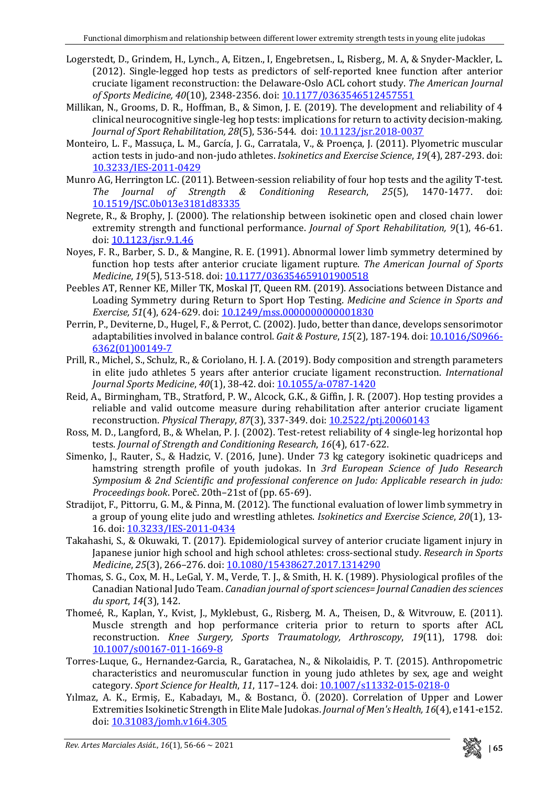- Logerstedt, D., Grindem, H., Lynch., A, Eitzen., I, Engebretsen., L, Risberg., M. A, & Snyder-Mackler, L. (2012). Single-legged hop tests as predictors of self-reported knee function after anterior cruciate ligament reconstruction: the Delaware-Oslo ACL cohort study. *The American Journal of Sports Medicine, 40*(10), 2348-2356. doi: [10.1177/0363546512457551](https://doi.org/10.1177/0363546512457551)
- Millikan, N., Grooms, D. R., Hoffman, B., & Simon, J. E. (2019). The development and reliability of 4 clinical neurocognitive single-leg hop tests: implications for return to activity decision-making. *Journal of Sport Rehabilitation, 28*(5), 536-544. doi: [10.1123/jsr.2018-0037](https://doi.org/10.1123/jsr.2018-0037)
- Monteiro, L. F., Massuça, L. M., García, J. G., Carratala, V., & Proença, J. (2011). Plyometric muscular action tests in judo-and non-judo athletes. *Isokinetics and Exercise Science*, *19*(4), 287-293. doi: [10.3233/IES-2011-0429](https://doi.org/10.3233/IES-2011-0429)
- Munro AG, Herrington LC. (2011). Between-session reliability of four hop tests and the agility T-test.<br>The Journal of Strength & Conditioning Research, 25(5), 1470-1477. doi: *The Journal of Strength* [10.1519/JSC.0b013e3181d83335](https://doi.org/10.1519/JSC.0b013e3181d83335)
- Negrete, R., & Brophy, J. (2000). The relationship between isokinetic open and closed chain lower extremity strength and functional performance. *Journal of Sport Rehabilitation, 9*(1), 46-61. doi: [10.1123/jsr.9.1.46](https://doi.org/10.1123/jsr.9.1.46)
- Noyes, F. R., Barber, S. D., & Mangine, R. E. (1991). Abnormal lower limb symmetry determined by function hop tests after anterior cruciate ligament rupture. *The American Journal of Sports Medicine*, *19*(5), 513-518. doi: [10.1177/036354659101900518](https://doi.org/10.1177/036354659101900518)
- Peebles AT, Renner KE, Miller TK, Moskal JT, Queen RM. (2019). Associations between Distance and Loading Symmetry during Return to Sport Hop Testing. *Medicine and Science in Sports and Exercise, 51*(4), 624-629. doi: [10.1249/mss.0000000000001830](https://doi.org/10.1249/mss.0000000000001830)
- Perrin, P., Deviterne, D., Hugel, F., & Perrot, C.(2002). Judo, better than dance, develops sensorimotor adaptabilities involved in balance control. *Gait & Posture*, *15*(2), 187-194. doi: [10.1016/S0966-](https://doi.org/10.1016/S0966-6362(01)00149-7) [6362\(01\)00149-7](https://doi.org/10.1016/S0966-6362(01)00149-7)
- Prill, R., Michel, S., Schulz, R., & Coriolano, H. J. A. (2019). Body composition and strength parameters in elite judo athletes 5 years after anterior cruciate ligament reconstruction. *International Journal Sports Medicine*, *40*(1), 38-42. doi: [10.1055/a-0787-1420](https://doi.org/10.1055/a-0787-1420)
- Reid, A., Birmingham, TB., Stratford, P. W., Alcock, G.K., & Giffin, J. R. (2007). Hop testing provides a reliable and valid outcome measure during rehabilitation after anterior cruciate ligament reconstruction. *Physical Therapy*, *87*(3), 337-349. doi: [10.2522/ptj.20060143](https://doi.org/10.2522/ptj.20060143)
- Ross, M. D., Langford, B., & Whelan, P. J. (2002). Test-retest reliability of 4 single-leg horizontal hop tests. *Journal of Strength and Conditioning Research*, *16*(4), 617-622.
- Simenko, J., Rauter, S., & Hadzic, V. (2016, June). Under 73 kg category isokinetic quadriceps and hamstring strength profile of youth judokas. In *3rd European Science of Judo Research Symposium & 2nd Scientific and professional conference on Judo: Applicable research in judo: Proceedings book*. Poreč. 20th–21st of (pp. 65-69).
- Stradijot, F., Pittorru, G. M., & Pinna, M. (2012). The functional evaluation of lower limb symmetry in a group of young elite judo and wrestling athletes. *Isokinetics and Exercise Science*, *20*(1), 13- 16. doi: [10.3233/IES-2011-0434](https://doi.org/10.3233/IES-2011-0434)
- Takahashi, S., & Okuwaki, T. (2017). Epidemiological survey of anterior cruciate ligament injury in Japanese junior high school and high school athletes: cross-sectional study. *Research in Sports Medicine*, *25*(3), 266–276. doi: [10.1080/15438627.2017.1314290](https://doi.org/10.1080/15438627.2017.1314290)
- Thomas, S. G., Cox, M. H., LeGal, Y. M., Verde, T. J., & Smith, H. K. (1989). Physiological profiles of the Canadian National Judo Team. *Canadian journal ofsportsciences= Journal Canadien dessciences du sport*, *14*(3), 142.
- Thomeé, R., Kaplan, Y., Kvist, J., Myklebust, G., Risberg, M. A., Theisen, D., & Witvrouw, E. (2011). Muscle strength and hop performance criteria prior to return to sports after ACL reconstruction. *Knee Surgery, Sports Traumatology, Arthroscopy*, *19*(11), 1798. doi: [10.1007/s00167-011-1669-8](https://doi.org/10.1007/s00167-011-1669-8)
- Torres-Luque, G., Hernandez-Garcia, R., Garatachea, N., & Nikolaidis, P. T. (2015). Anthropometric characteristics and neuromuscular function in young judo athletes by sex, age and weight category. *Sport Science for Health*, *11*, 117–124. doi: [10.1007/s11332-015-0218-0](https://doi.org/10.1007/s11332-015-0218-0)
- Yılmaz, A. K., Ermiş, E., Kabadayı, M., & Bostancı, Ö. (2020). Correlation of Upper and Lower Extremities Isokinetic Strength in Elite Male Judokas. *Journal of Men's Health*, 16(4), e141-e152. doi: [10.31083/jomh.v16i4.305](https://jomh.org/articles/10.31083/jomh.v16i4.305)